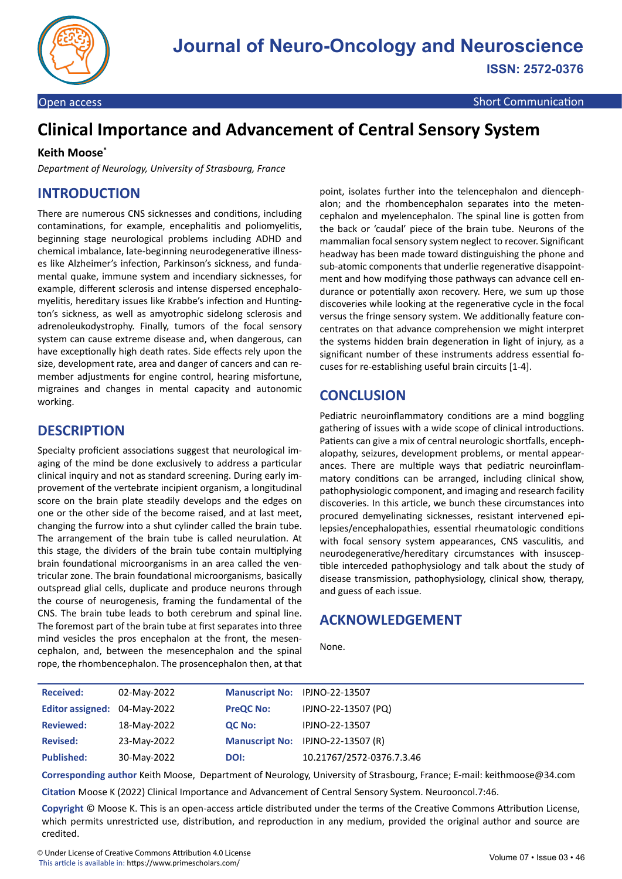

# **Clinical Importance and Advancement of Central Sensory System**

#### **Keith Moose\***

*Department of Neurology, University of Strasbourg, France*

#### **INTRODUCTION**

There are numerous CNS sicknesses and conditions, including contaminations, for example, encephalitis and poliomyelitis, beginning stage neurological problems including ADHD and chemical imbalance, late-beginning neurodegenerative illnesses like Alzheimer's infection, Parkinson's sickness, and fundamental quake, immune system and incendiary sicknesses, for example, different sclerosis and intense dispersed encephalomyelitis, hereditary issues like Krabbe's infection and Huntington's sickness, as well as amyotrophic sidelong sclerosis and adrenoleukodystrophy. Finally, tumors of the focal sensory system can cause extreme disease and, when dangerous, can have exceptionally high death rates. Side effects rely upon the size, development rate, area and danger of cancers and can remember adjustments for engine control, hearing misfortune, migraines and changes in mental capacity and autonomic working.

#### **DESCRIPTION**

Specialty proficient associations suggest that neurological imaging of the mind be done exclusively to address a particular clinical inquiry and not as standard screening. During early improvement of the vertebrate incipient organism, a longitudinal score on the brain plate steadily develops and the edges on one or the other side of the become raised, and at last meet, changing the furrow into a shut cylinder called the brain tube. The arrangement of the brain tube is called neurulation. At this stage, the dividers of the brain tube contain multiplying brain foundational microorganisms in an area called the ventricular zone. The brain foundational microorganisms, basically outspread glial cells, duplicate and produce neurons through the course of neurogenesis, framing the fundamental of the CNS. The brain tube leads to both cerebrum and spinal line. The foremost part of the brain tube at first separates into three mind vesicles the pros encephalon at the front, the mesencephalon, and, between the mesencephalon and the spinal rope, the rhombencephalon. The prosencephalon then, at that

point, isolates further into the telencephalon and diencephalon; and the rhombencephalon separates into the metencephalon and myelencephalon. The spinal line is gotten from the back or 'caudal' piece of the brain tube. Neurons of the mammalian focal sensory system neglect to recover. Significant headway has been made toward distinguishing the phone and sub-atomic components that underlie regenerative disappointment and how modifying those pathways can advance cell endurance or potentially axon recovery. Here, we sum up those discoveries while looking at the regenerative cycle in the focal versus the fringe sensory system. We additionally feature concentrates on that advance comprehension we might interpret the systems hidden brain degeneration in light of injury, as a significant number of these instruments address essential focuses for re-establishing useful brain circuits [1-4].

### **CONCLUSION**

Pediatric neuroinflammatory conditions are a mind boggling gathering of issues with a wide scope of clinical introductions. Patients can give a mix of central neurologic shortfalls, encephalopathy, seizures, development problems, or mental appearances. There are multiple ways that pediatric neuroinflammatory conditions can be arranged, including clinical show, pathophysiologic component, and imaging and research facility discoveries. In this article, we bunch these circumstances into procured demyelinating sicknesses, resistant intervened epilepsies/encephalopathies, essential rheumatologic conditions with focal sensory system appearances, CNS vasculitis, and neurodegenerative/hereditary circumstances with insusceptible interceded pathophysiology and talk about the study of disease transmission, pathophysiology, clinical show, therapy, and guess of each issue.

## **ACKNOWLEDGEMENT**

None.

| <b>Received:</b>             | 02-May-2022 | Manuscript No: IPJNO-22-13507 |                                   |
|------------------------------|-------------|-------------------------------|-----------------------------------|
| Editor assigned: 04-May-2022 |             | <b>PreQC No:</b>              | IPJNO-22-13507 (PQ)               |
| <b>Reviewed:</b>             | 18-May-2022 | QC No:                        | IPJNO-22-13507                    |
| <b>Revised:</b>              | 23-May-2022 |                               | Manuscript No: IPJNO-22-13507 (R) |
| <b>Published:</b>            | 30-May-2022 | DOI:                          | 10.21767/2572-0376.7.3.46         |

**Corresponding author** Keith Moose, Department of Neurology, University of Strasbourg, France; E-mail: keithmoose@34.com

**Citation** Moose K (2022) Clinical Importance and Advancement of Central Sensory System. Neurooncol.7:46.

**Copyright** © Moose K. This is an open-access article distributed under the terms of the Creative Commons Attribution License, which permits unrestricted use, distribution, and reproduction in any medium, provided the original author and source are credited.